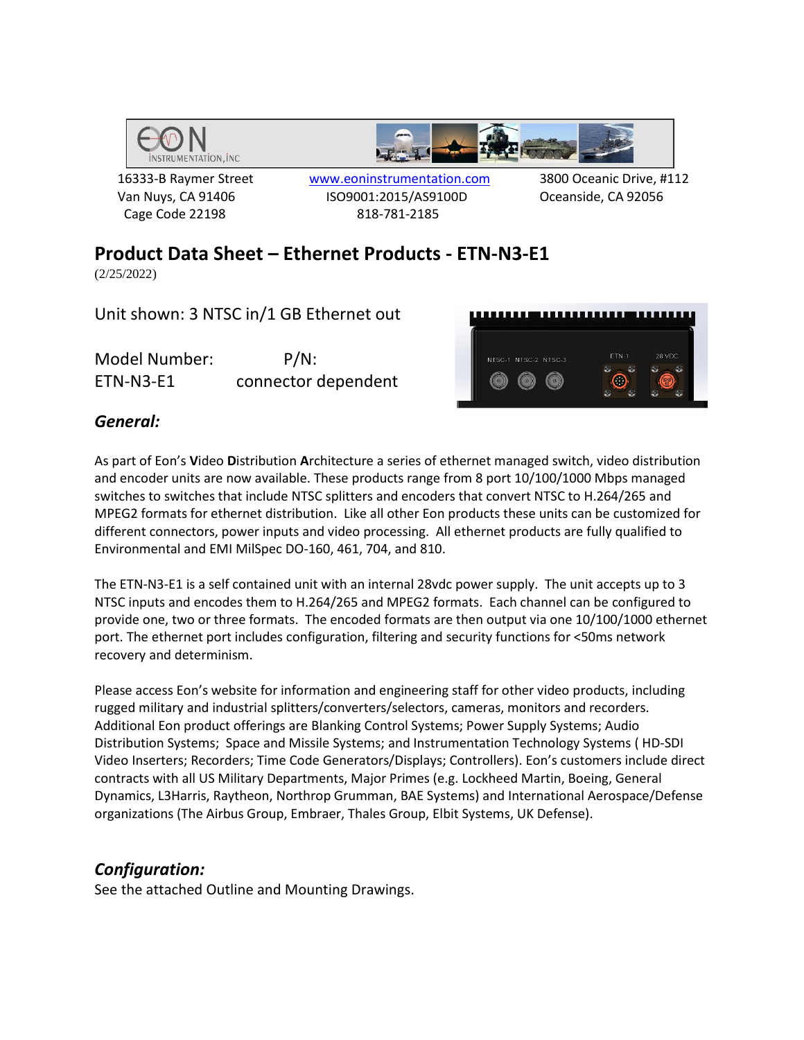

Cage Code 22198 818-781-2185

 16333-B Raymer Street www.eoninstrumentation.com 3800 Oceanic Drive, #112 Van Nuys, CA 91406 ISO9001:2015/AS9100D Oceanside, CA 92056

# **Product Data Sheet – Ethernet Products - ETN-N3-E1**

(2/25/2022)

Unit shown: 3 NTSC in/1 GB Ethernet out

Model Number: P/N: ETN-N3-E1 connector dependent



### *General:*

As part of Eon's **V**ideo **D**istribution **A**rchitecture a series of ethernet managed switch, video distribution and encoder units are now available. These products range from 8 port 10/100/1000 Mbps managed switches to switches that include NTSC splitters and encoders that convert NTSC to H.264/265 and MPEG2 formats for ethernet distribution. Like all other Eon products these units can be customized for different connectors, power inputs and video processing. All ethernet products are fully qualified to Environmental and EMI MilSpec DO-160, 461, 704, and 810.

The ETN-N3-E1 is a self contained unit with an internal 28vdc power supply. The unit accepts up to 3 NTSC inputs and encodes them to H.264/265 and MPEG2 formats. Each channel can be configured to provide one, two or three formats. The encoded formats are then output via one 10/100/1000 ethernet port. The ethernet port includes configuration, filtering and security functions for <50ms network recovery and determinism.

Please access Eon's website for information and engineering staff for other video products, including rugged military and industrial splitters/converters/selectors, cameras, monitors and recorders. Additional Eon product offerings are Blanking Control Systems; Power Supply Systems; Audio Distribution Systems; Space and Missile Systems; and Instrumentation Technology Systems ( HD-SDI Video Inserters; Recorders; Time Code Generators/Displays; Controllers). Eon's customers include direct contracts with all US Military Departments, Major Primes (e.g. Lockheed Martin, Boeing, General Dynamics, L3Harris, Raytheon, Northrop Grumman, BAE Systems) and International Aerospace/Defense organizations (The Airbus Group, Embraer, Thales Group, Elbit Systems, UK Defense).

#### *Configuration:*

See the attached Outline and Mounting Drawings.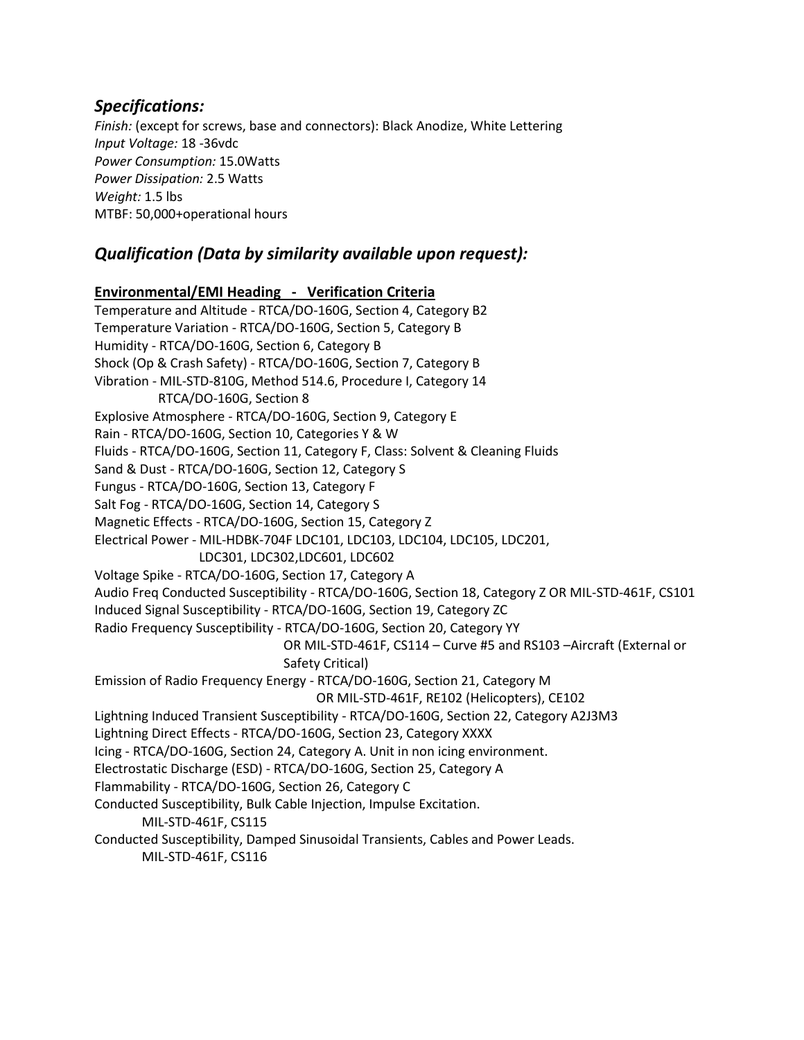#### *Specifications:*

*Finish:* (except for screws, base and connectors): Black Anodize, White Lettering *Input Voltage:* 18 -36vdc *Power Consumption:* 15.0Watts *Power Dissipation:* 2.5 Watts *Weight:* 1.5 lbs MTBF: 50,000+operational hours

#### *Qualification (Data by similarity available upon request):*

# **Environmental/EMI Heading - Verification Criteria**

Temperature and Altitude - RTCA/DO-160G, Section 4, Category B2 Temperature Variation - RTCA/DO-160G, Section 5, Category B Humidity - RTCA/DO-160G, Section 6, Category B Shock (Op & Crash Safety) - RTCA/DO-160G, Section 7, Category B Vibration - MIL-STD-810G, Method 514.6, Procedure I, Category 14 RTCA/DO-160G, Section 8 Explosive Atmosphere - RTCA/DO-160G, Section 9, Category E Rain - RTCA/DO-160G, Section 10, Categories Y & W Fluids - RTCA/DO-160G, Section 11, Category F, Class: Solvent & Cleaning Fluids Sand & Dust - RTCA/DO-160G, Section 12, Category S Fungus - RTCA/DO-160G, Section 13, Category F Salt Fog - RTCA/DO-160G, Section 14, Category S Magnetic Effects - RTCA/DO-160G, Section 15, Category Z Electrical Power - MIL-HDBK-704F LDC101, LDC103, LDC104, LDC105, LDC201, LDC301, LDC302,LDC601, LDC602 Voltage Spike - RTCA/DO-160G, Section 17, Category A Audio Freq Conducted Susceptibility - RTCA/DO-160G, Section 18, Category Z OR MIL-STD-461F, CS101 Induced Signal Susceptibility - RTCA/DO-160G, Section 19, Category ZC Radio Frequency Susceptibility - RTCA/DO-160G, Section 20, Category YY OR MIL-STD-461F, CS114 – Curve #5 and RS103 –Aircraft (External or Safety Critical) Emission of Radio Frequency Energy - RTCA/DO-160G, Section 21, Category M OR MIL-STD-461F, RE102 (Helicopters), CE102 Lightning Induced Transient Susceptibility - RTCA/DO-160G, Section 22, Category A2J3M3 Lightning Direct Effects - RTCA/DO-160G, Section 23, Category XXXX Icing - RTCA/DO-160G, Section 24, Category A. Unit in non icing environment. Electrostatic Discharge (ESD) - RTCA/DO-160G, Section 25, Category A Flammability - RTCA/DO-160G, Section 26, Category C Conducted Susceptibility, Bulk Cable Injection, Impulse Excitation. MIL-STD-461F, CS115 Conducted Susceptibility, Damped Sinusoidal Transients, Cables and Power Leads. MIL-STD-461F, CS116